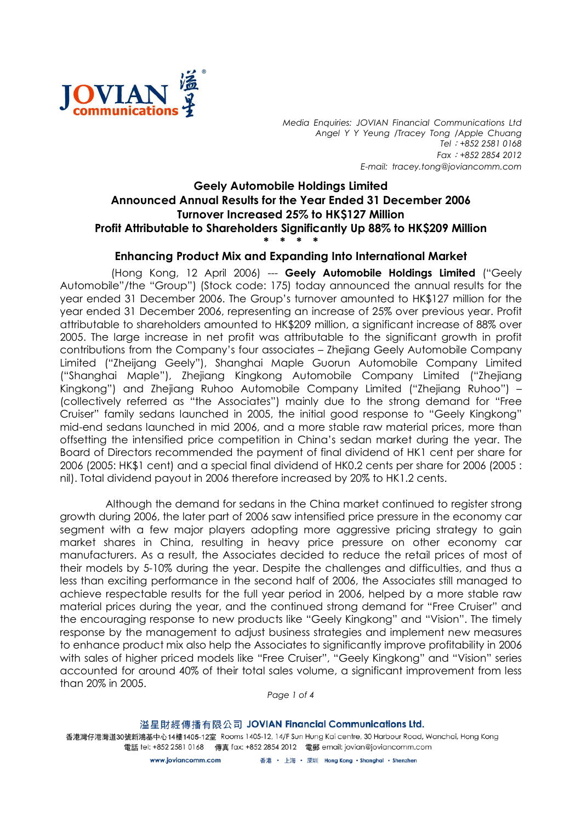

Media Enquiries: JOVIAN Financial Communications Ltd Angel Y Y Yeung /Tracey Tong /Apple Chuang Tel: +852 2581 0168 Fax:+852 2854 2012 E-mail: tracey.tong@joviancomm.com

## Geely Automobile Holdings Limited Announced Annual Results for the Year Ended 31 December 2006 Turnover Increased 25% to HK\$127 Million Profit Attributable to Shareholders Significantly Up 88% to HK\$209 Million \* \* \* \*

## Enhancing Product Mix and Expanding Into International Market

(Hong Kong, 12 April 2006) --- Geely Automobile Holdings Limited ("Geely Automobile"/the "Group") (Stock code: 175) today announced the annual results for the year ended 31 December 2006. The Group's turnover amounted to HK\$127 million for the year ended 31 December 2006, representing an increase of 25% over previous year. Profit attributable to shareholders amounted to HK\$209 million, a significant increase of 88% over 2005. The large increase in net profit was attributable to the significant growth in profit contributions from the Company's four associates – Zhejiang Geely Automobile Company Limited ("Zheijang Geely"), Shanghai Maple Guorun Automobile Company Limited ("Shanghai Maple"), Zhejiang Kingkong Automobile Company Limited ("Zhejiang Kingkong") and Zhejiang Ruhoo Automobile Company Limited ("Zhejiang Ruhoo") – (collectively referred as "the Associates") mainly due to the strong demand for "Free Cruiser" family sedans launched in 2005, the initial good response to "Geely Kingkong" mid-end sedans launched in mid 2006, and a more stable raw material prices, more than offsetting the intensified price competition in China's sedan market during the year. The Board of Directors recommended the payment of final dividend of HK1 cent per share for 2006 (2005: HK\$1 cent) and a special final dividend of HK0.2 cents per share for 2006 (2005 : nil). Total dividend payout in 2006 therefore increased by 20% to HK1.2 cents.

 Although the demand for sedans in the China market continued to register strong growth during 2006, the later part of 2006 saw intensified price pressure in the economy car segment with a few major players adopting more aggressive pricing strategy to gain market shares in China, resulting in heavy price pressure on other economy car manufacturers. As a result, the Associates decided to reduce the retail prices of most of their models by 5-10% during the year. Despite the challenges and difficulties, and thus a less than exciting performance in the second half of 2006, the Associates still managed to achieve respectable results for the full year period in 2006, helped by a more stable raw material prices during the year, and the continued strong demand for "Free Cruiser" and the encouraging response to new products like "Geely Kingkong" and "Vision". The timely response by the management to adjust business strategies and implement new measures to enhance product mix also help the Associates to significantly improve profitability in 2006 with sales of higher priced models like "Free Cruiser", "Geely Kingkong" and "Vision" series accounted for around 40% of their total sales volume, a significant improvement from less than 20% in 2005.

Page 1 of 4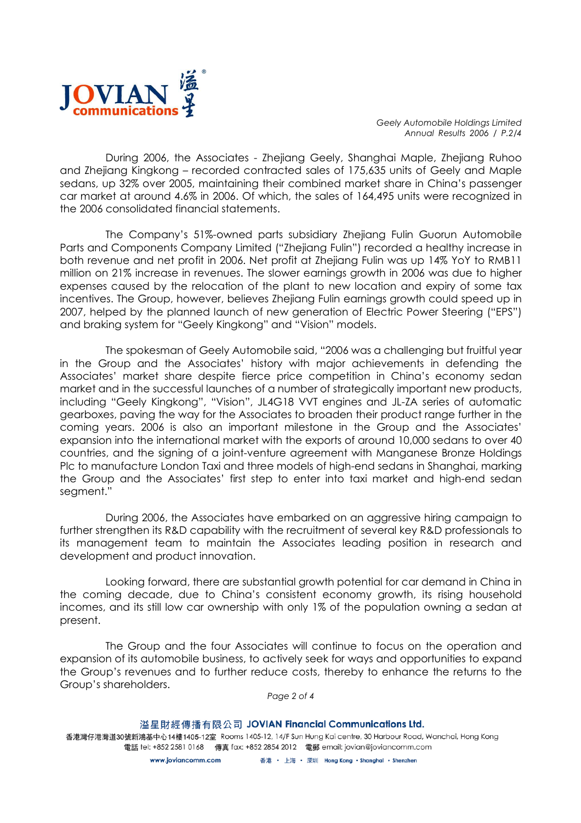

Geely Automobile Holdings Limited Annual Results 2006 / P.2/4

 During 2006, the Associates - Zhejiang Geely, Shanghai Maple, Zhejiang Ruhoo and Zhejiang Kingkong – recorded contracted sales of 175,635 units of Geely and Maple sedans, up 32% over 2005, maintaining their combined market share in China's passenger car market at around 4.6% in 2006. Of which, the sales of 164,495 units were recognized in the 2006 consolidated financial statements.

 The Company's 51%-owned parts subsidiary Zhejiang Fulin Guorun Automobile Parts and Components Company Limited ("Zhejiang Fulin") recorded a healthy increase in both revenue and net profit in 2006. Net profit at Zhejiang Fulin was up 14% YoY to RMB11 million on 21% increase in revenues. The slower earnings growth in 2006 was due to higher expenses caused by the relocation of the plant to new location and expiry of some tax incentives. The Group, however, believes Zhejiang Fulin earnings growth could speed up in 2007, helped by the planned launch of new generation of Electric Power Steering ("EPS") and braking system for "Geely Kingkong" and "Vision" models.

The spokesman of Geely Automobile said, "2006 was a challenging but fruitful year in the Group and the Associates' history with major achievements in defending the Associates' market share despite fierce price competition in China's economy sedan market and in the successful launches of a number of strategically important new products, including "Geely Kingkong", "Vision", JL4G18 VVT engines and JL-ZA series of automatic gearboxes, paving the way for the Associates to broaden their product range further in the coming years. 2006 is also an important milestone in the Group and the Associates' expansion into the international market with the exports of around 10,000 sedans to over 40 countries, and the signing of a joint-venture agreement with Manganese Bronze Holdings Plc to manufacture London Taxi and three models of high-end sedans in Shanghai, marking the Group and the Associates' first step to enter into taxi market and high-end sedan segment."

 During 2006, the Associates have embarked on an aggressive hiring campaign to further strengthen its R&D capability with the recruitment of several key R&D professionals to its management team to maintain the Associates leading position in research and development and product innovation.

Looking forward, there are substantial growth potential for car demand in China in the coming decade, due to China's consistent economy growth, its rising household incomes, and its still low car ownership with only 1% of the population owning a sedan at present.

 The Group and the four Associates will continue to focus on the operation and expansion of its automobile business, to actively seek for ways and opportunities to expand the Group's revenues and to further reduce costs, thereby to enhance the returns to the Group's shareholders.

Page 2 of 4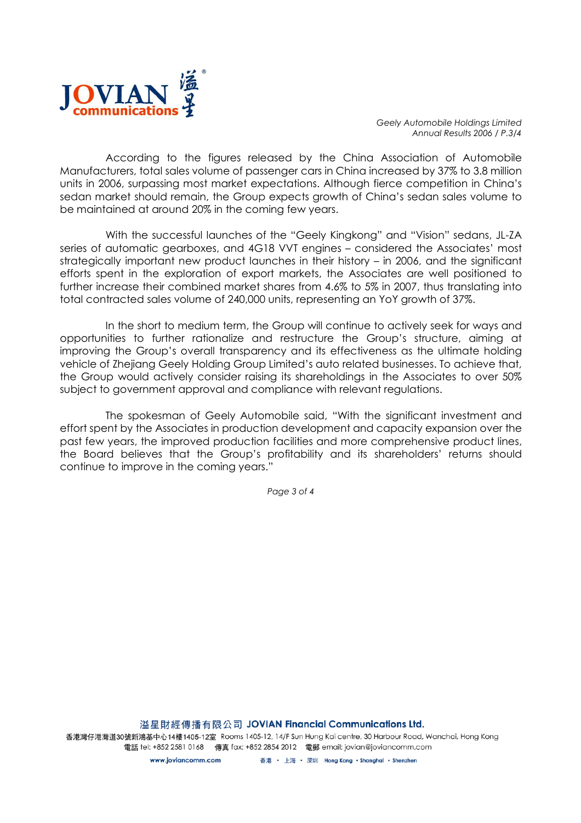

Geely Automobile Holdings Limited Annual Results 2006 / P.3/4

 According to the figures released by the China Association of Automobile Manufacturers, total sales volume of passenger cars in China increased by 37% to 3.8 million units in 2006, surpassing most market expectations. Although fierce competition in China's sedan market should remain, the Group expects growth of China's sedan sales volume to be maintained at around 20% in the coming few years.

 With the successful launches of the "Geely Kingkong" and "Vision" sedans, JL-ZA series of automatic gearboxes, and 4G18 VVT engines – considered the Associates' most strategically important new product launches in their history – in 2006, and the significant efforts spent in the exploration of export markets, the Associates are well positioned to further increase their combined market shares from 4.6% to 5% in 2007, thus translating into total contracted sales volume of 240,000 units, representing an YoY growth of 37%.

 In the short to medium term, the Group will continue to actively seek for ways and opportunities to further rationalize and restructure the Group's structure, aiming at improving the Group's overall transparency and its effectiveness as the ultimate holding vehicle of Zhejiang Geely Holding Group Limited's auto related businesses. To achieve that, the Group would actively consider raising its shareholdings in the Associates to over 50% subject to government approval and compliance with relevant regulations.

 The spokesman of Geely Automobile said, "With the significant investment and effort spent by the Associates in production development and capacity expansion over the past few years, the improved production facilities and more comprehensive product lines, the Board believes that the Group's profitability and its shareholders' returns should continue to improve in the coming years."

Page 3 of 4

溢星財經傳播有限公司 JOVIAN Financial Communications Ltd.

香港灣仔港灣道30號新鴻基中心14樓1405-12室 Rooms 1405-12, 14/F Sun Hung Kai centre, 30 Harbour Road, Wanchai, Hong Kong 電話 tel: +852 2581 0168 傳真 fax: +852 2854 2012 電郵 email: jovian@joviancomm.com

> www.joviancomm.com 香港 · 上海 · 深圳 Hong Kong · Shanghai · Shenzhen